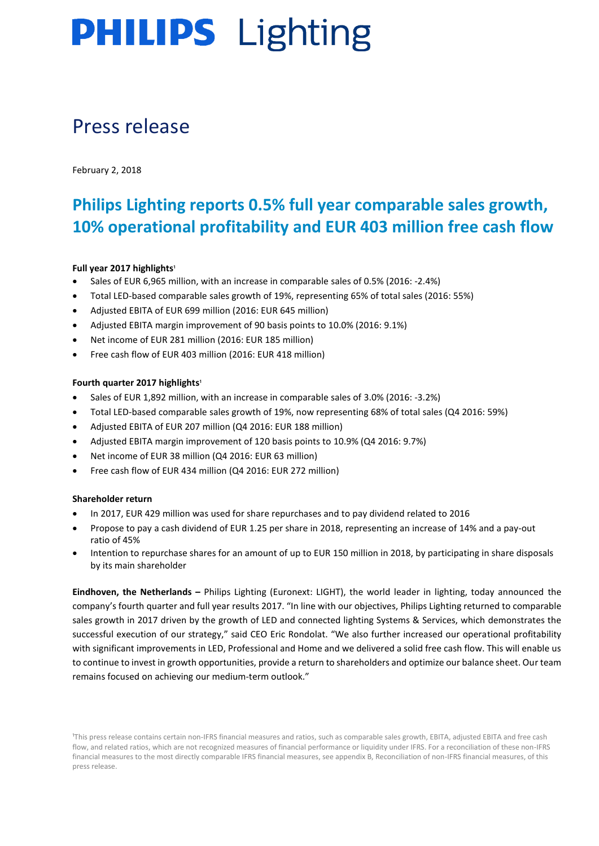# Press release

February 2, 2018

# **Philips Lighting reports 0.5% full year comparable sales growth, 10% operational profitability and EUR 403 million free cash flow**

### Full year 2017 highlights<sup>1</sup>

- Sales of EUR 6,965 million, with an increase in comparable sales of 0.5% (2016: -2.4%)
- Total LED-based comparable sales growth of 19%, representing 65% of total sales (2016: 55%)
- Adjusted EBITA of EUR 699 million (2016: EUR 645 million)
- Adjusted EBITA margin improvement of 90 basis points to 10.0% (2016: 9.1%)
- Net income of EUR 281 million (2016: EUR 185 million)
- Free cash flow of EUR 403 million (2016: EUR 418 million)

### **Fourth quarter 2017 highlights<sup>1</sup>**

- Sales of EUR 1,892 million, with an increase in comparable sales of 3.0% (2016: -3.2%)
- Total LED-based comparable sales growth of 19%, now representing 68% of total sales (Q4 2016: 59%)
- Adjusted EBITA of EUR 207 million (Q4 2016: EUR 188 million)
- Adjusted EBITA margin improvement of 120 basis points to 10.9% (Q4 2016: 9.7%)
- Net income of EUR 38 million (Q4 2016: EUR 63 million)
- Free cash flow of EUR 434 million (Q4 2016: EUR 272 million)

### **Shareholder return**

- In 2017, EUR 429 million was used for share repurchases and to pay dividend related to 2016
- Propose to pay a cash dividend of EUR 1.25 per share in 2018, representing an increase of 14% and a pay-out ratio of 45%
- Intention to repurchase shares for an amount of up to EUR 150 million in 2018, by participating in share disposals by its main shareholder

**Eindhoven, the Netherlands –** Philips Lighting (Euronext: LIGHT), the world leader in lighting, today announced the company's fourth quarter and full year results 2017. "In line with our objectives, Philips Lighting returned to comparable sales growth in 2017 driven by the growth of LED and connected lighting Systems & Services, which demonstrates the successful execution of our strategy," said CEO Eric Rondolat. "We also further increased our operational profitability with significant improvements in LED, Professional and Home and we delivered a solid free cash flow. This will enable us to continue to invest in growth opportunities, provide a return to shareholders and optimize our balance sheet. Our team remains focused on achieving our medium-term outlook."

<sup>1</sup>This press release contains certain non-IFRS financial measures and ratios, such as comparable sales growth, EBITA, adjusted EBITA and free cash flow, and related ratios, which are not recognized measures of financial performance or liquidity under IFRS. For a reconciliation of these non-IFRS financial measures to the most directly comparable IFRS financial measures, see appendix B, Reconciliation of non-IFRS financial measures, of this press release.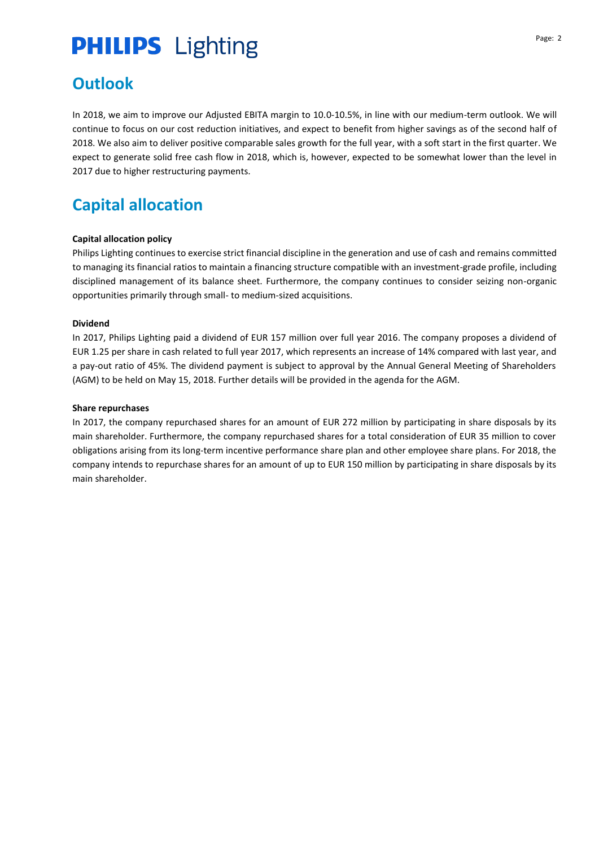# **Outlook**

In 2018, we aim to improve our Adjusted EBITA margin to 10.0-10.5%, in line with our medium-term outlook. We will continue to focus on our cost reduction initiatives, and expect to benefit from higher savings as of the second half of 2018. We also aim to deliver positive comparable sales growth for the full year, with a soft start in the first quarter. We expect to generate solid free cash flow in 2018, which is, however, expected to be somewhat lower than the level in 2017 due to higher restructuring payments.

# **Capital allocation**

### **Capital allocation policy**

Philips Lighting continues to exercise strict financial discipline in the generation and use of cash and remains committed to managing its financial ratios to maintain a financing structure compatible with an investment-grade profile, including disciplined management of its balance sheet. Furthermore, the company continues to consider seizing non-organic opportunities primarily through small- to medium-sized acquisitions.

### **Dividend**

In 2017, Philips Lighting paid a dividend of EUR 157 million over full year 2016. The company proposes a dividend of EUR 1.25 per share in cash related to full year 2017, which represents an increase of 14% compared with last year, and a pay-out ratio of 45%. The dividend payment is subject to approval by the Annual General Meeting of Shareholders (AGM) to be held on May 15, 2018. Further details will be provided in the agenda for the AGM.

### **Share repurchases**

In 2017, the company repurchased shares for an amount of EUR 272 million by participating in share disposals by its main shareholder. Furthermore, the company repurchased shares for a total consideration of EUR 35 million to cover obligations arising from its long-term incentive performance share plan and other employee share plans. For 2018, the company intends to repurchase shares for an amount of up to EUR 150 million by participating in share disposals by its main shareholder.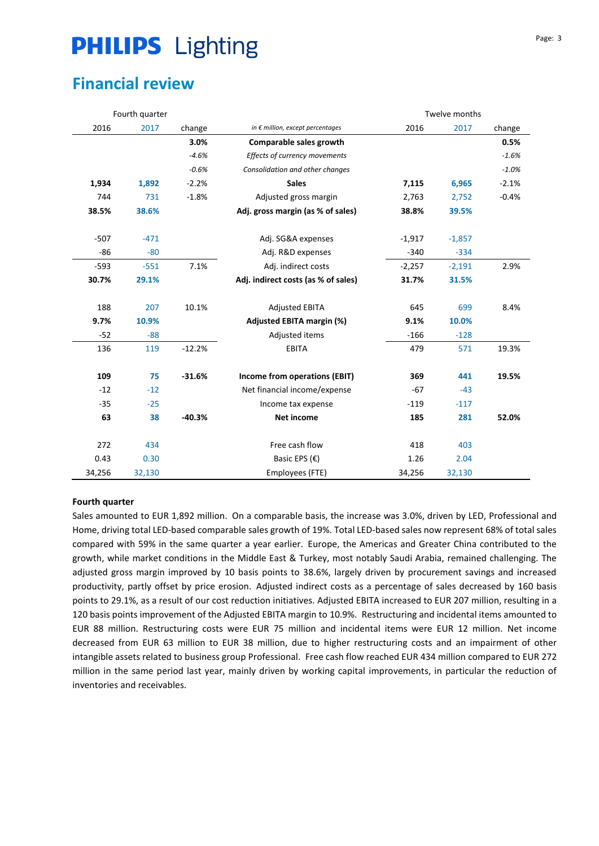# **Financial review**

|        | Fourth quarter |          | Twelve months                             |          |          |         |
|--------|----------------|----------|-------------------------------------------|----------|----------|---------|
| 2016   | 2017           | change   | in $\epsilon$ million, except percentages | 2016     | 2017     | change  |
|        |                | 3.0%     | Comparable sales growth                   |          |          | 0.5%    |
|        |                | $-4.6%$  | Effects of currency movements             |          |          | $-1.6%$ |
|        |                | $-0.6%$  | Consolidation and other changes           |          |          | $-1.0%$ |
| 1,934  | 1,892          | $-2.2%$  | <b>Sales</b>                              | 7,115    | 6,965    | $-2.1%$ |
| 744    | 731            | $-1.8%$  | Adjusted gross margin                     | 2,763    | 2,752    | $-0.4%$ |
| 38.5%  | 38.6%          |          | Adj. gross margin (as % of sales)         | 38.8%    | 39.5%    |         |
| $-507$ | $-471$         |          | Adj. SG&A expenses                        | $-1,917$ | $-1,857$ |         |
| $-86$  | $-80$          |          | Adj. R&D expenses                         | $-340$   | $-334$   |         |
| $-593$ | $-551$         | 7.1%     | Adj. indirect costs                       | $-2,257$ | $-2,191$ | 2.9%    |
| 30.7%  | 29.1%          |          | Adj. indirect costs (as % of sales)       | 31.7%    | 31.5%    |         |
| 188    | 207            | 10.1%    | <b>Adjusted EBITA</b>                     | 645      | 699      | 8.4%    |
| 9.7%   | 10.9%          |          | <b>Adjusted EBITA margin (%)</b>          | 9.1%     | 10.0%    |         |
| $-52$  | $-88$          |          | Adjusted items                            | $-166$   | $-128$   |         |
| 136    | 119            | $-12.2%$ | <b>EBITA</b>                              | 479      | 571      | 19.3%   |
| 109    | 75             | $-31.6%$ | Income from operations (EBIT)             | 369      | 441      | 19.5%   |
| $-12$  | $-12$          |          | Net financial income/expense              | $-67$    | $-43$    |         |
| $-35$  | $-25$          |          | Income tax expense                        | $-119$   | $-117$   |         |
| 63     | 38             | $-40.3%$ | <b>Net income</b>                         | 185      | 281      | 52.0%   |
| 272    | 434            |          | Free cash flow                            | 418      | 403      |         |
| 0.43   | 0.30           |          | Basic EPS $(E)$                           | 1.26     | 2.04     |         |
| 34,256 | 32,130         |          | Employees (FTE)                           | 34,256   | 32,130   |         |

### **Fourth quarter**

Sales amounted to EUR 1,892 million. On a comparable basis, the increase was 3.0%, driven by LED, Professional and Home, driving total LED-based comparable sales growth of 19%. Total LED-based sales now represent 68% of total sales compared with 59% in the same quarter a year earlier. Europe, the Americas and Greater China contributed to the growth, while market conditions in the Middle East & Turkey, most notably Saudi Arabia, remained challenging. The adjusted gross margin improved by 10 basis points to 38.6%, largely driven by procurement savings and increased productivity, partly offset by price erosion. Adjusted indirect costs as a percentage of sales decreased by 160 basis points to 29.1%, as a result of our cost reduction initiatives. Adjusted EBITA increased to EUR 207 million, resulting in a 120 basis points improvement of the Adjusted EBITA margin to 10.9%. Restructuring and incidental items amounted to EUR 88 million. Restructuring costs were EUR 75 million and incidental items were EUR 12 million. Net income decreased from EUR 63 million to EUR 38 million, due to higher restructuring costs and an impairment of other intangible assets related to business group Professional. Free cash flow reached EUR 434 million compared to EUR 272 million in the same period last year, mainly driven by working capital improvements, in particular the reduction of inventories and receivables.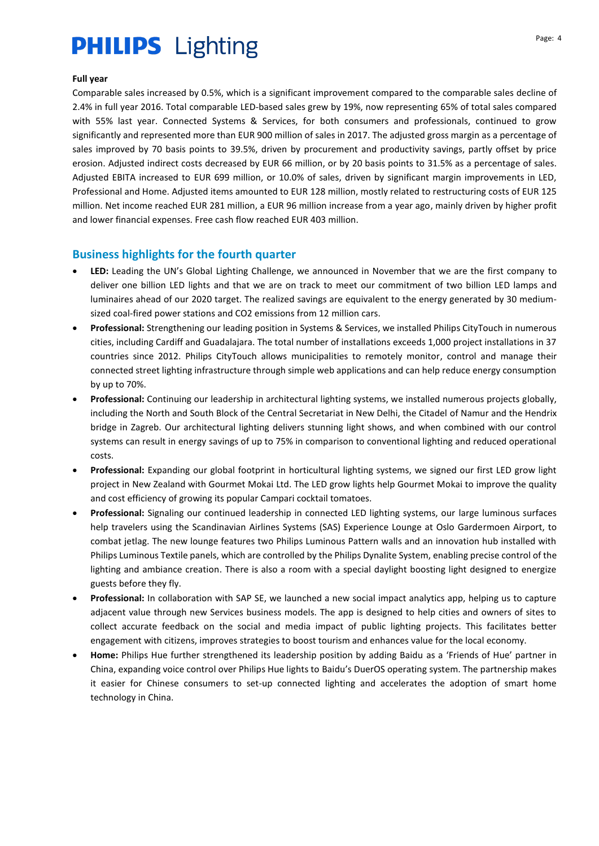#### **Full year**

Comparable sales increased by 0.5%, which is a significant improvement compared to the comparable sales decline of 2.4% in full year 2016. Total comparable LED-based sales grew by 19%, now representing 65% of total sales compared with 55% last year. Connected Systems & Services, for both consumers and professionals, continued to grow significantly and represented more than EUR 900 million of sales in 2017. The adjusted gross margin as a percentage of sales improved by 70 basis points to 39.5%, driven by procurement and productivity savings, partly offset by price erosion. Adjusted indirect costs decreased by EUR 66 million, or by 20 basis points to 31.5% as a percentage of sales. Adjusted EBITA increased to EUR 699 million, or 10.0% of sales, driven by significant margin improvements in LED, Professional and Home. Adjusted items amounted to EUR 128 million, mostly related to restructuring costs of EUR 125 million. Net income reached EUR 281 million, a EUR 96 million increase from a year ago, mainly driven by higher profit and lower financial expenses. Free cash flow reached EUR 403 million.

## **Business highlights for the fourth quarter**

- LED: Leading the UN's Global Lighting Challenge, we announced in November that we are the first company to deliver one billion LED lights and that we are on track to meet our commitment of two billion LED lamps and luminaires ahead of our 2020 target. The realized savings are equivalent to the energy generated by 30 mediumsized coal-fired power stations and CO2 emissions from 12 million cars.
- **Professional:** Strengthening our leading position in Systems & Services, we installed Philips CityTouch in numerous cities, including Cardiff and Guadalajara. The total number of installations exceeds 1,000 project installations in 37 countries since 2012. Philips CityTouch allows municipalities to remotely monitor, control and manage their connected street lighting infrastructure through simple web applications and can help reduce energy consumption by up to 70%.
- **Professional:** Continuing our leadership in architectural lighting systems, we installed numerous projects globally, including the North and South Block of the Central Secretariat in New Delhi, the Citadel of Namur and the Hendrix bridge in Zagreb. Our architectural lighting delivers stunning light shows, and when combined with our control systems can result in energy savings of up to 75% in comparison to conventional lighting and reduced operational costs.
- **Professional:** Expanding our global footprint in horticultural lighting systems, we signed our first LED grow light project in New Zealand with Gourmet Mokai Ltd. The LED grow lights help Gourmet Mokai to improve the quality and cost efficiency of growing its popular Campari cocktail tomatoes.
- **Professional:** Signaling our continued leadership in connected LED lighting systems, our large luminous surfaces help travelers using the Scandinavian Airlines Systems (SAS) Experience Lounge at Oslo Gardermoen Airport, to combat jetlag. The new lounge features two Philips Luminous Pattern walls and an innovation hub installed with Philips Luminous Textile panels, which are controlled by the Philips Dynalite System, enabling precise control of the lighting and ambiance creation. There is also a room with a special daylight boosting light designed to energize guests before they fly.
- **Professional:** In collaboration with SAP SE, we launched a new social impact analytics app, helping us to capture adjacent value through new Services business models. The app is designed to help cities and owners of sites to collect accurate feedback on the social and media impact of public lighting projects. This facilitates better engagement with citizens, improves strategies to boost tourism and enhances value for the local economy.
- **Home:** Philips Hue further strengthened its leadership position by adding Baidu as a 'Friends of Hue' partner in China, expanding voice control over Philips Hue lights to Baidu's DuerOS operating system. The partnership makes it easier for Chinese consumers to set-up connected lighting and accelerates the adoption of smart home technology in China.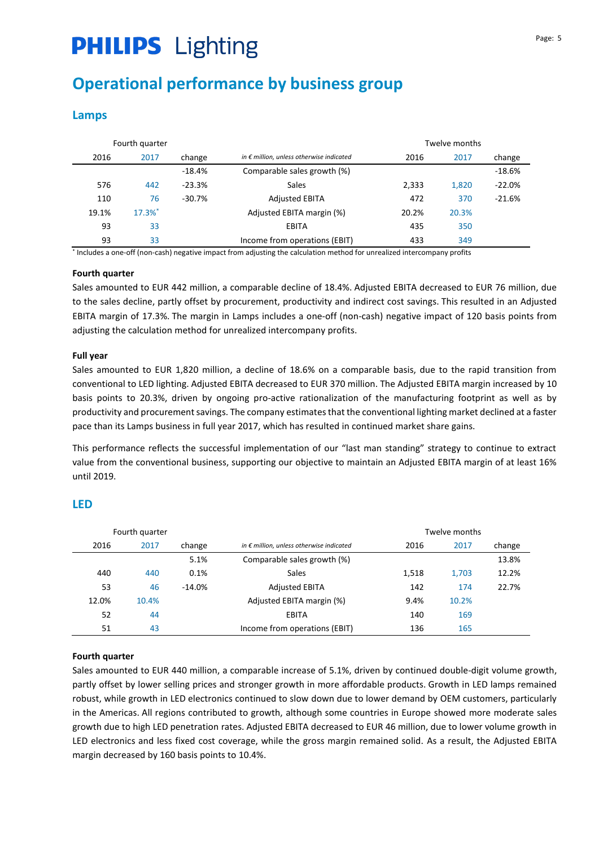# **Operational performance by business group**

## **Lamps**

|       | Fourth quarter       |           | Twelve months                                     |       |       |          |  |
|-------|----------------------|-----------|---------------------------------------------------|-------|-------|----------|--|
| 2016  | 2017                 | change    | in $\epsilon$ million, unless otherwise indicated | 2016  | 2017  | change   |  |
|       |                      | $-18.4\%$ | Comparable sales growth (%)                       |       |       | $-18.6%$ |  |
| 576   | 442                  | $-23.3%$  | Sales                                             | 2,333 | 1,820 | $-22.0%$ |  |
| 110   | 76                   | $-30.7%$  | <b>Adjusted EBITA</b>                             | 472   | 370   | $-21.6%$ |  |
| 19.1% | $17.3%$ <sup>*</sup> |           | Adjusted EBITA margin (%)                         | 20.2% | 20.3% |          |  |
| 93    | 33                   |           | EBITA                                             | 435   | 350   |          |  |
| 93    | 33                   |           | Income from operations (EBIT)                     | 433   | 349   |          |  |

\* Includes a one-off (non-cash) negative impact from adjusting the calculation method for unrealized intercompany profits

### **Fourth quarter**

Sales amounted to EUR 442 million, a comparable decline of 18.4%. Adjusted EBITA decreased to EUR 76 million, due to the sales decline, partly offset by procurement, productivity and indirect cost savings. This resulted in an Adjusted EBITA margin of 17.3%. The margin in Lamps includes a one-off (non-cash) negative impact of 120 basis points from adjusting the calculation method for unrealized intercompany profits.

### **Full year**

Sales amounted to EUR 1,820 million, a decline of 18.6% on a comparable basis, due to the rapid transition from conventional to LED lighting. Adjusted EBITA decreased to EUR 370 million. The Adjusted EBITA margin increased by 10 basis points to 20.3%, driven by ongoing pro-active rationalization of the manufacturing footprint as well as by productivity and procurement savings. The company estimates that the conventional lighting market declined at a faster pace than its Lamps business in full year 2017, which has resulted in continued market share gains.

This performance reflects the successful implementation of our "last man standing" strategy to continue to extract value from the conventional business, supporting our objective to maintain an Adjusted EBITA margin of at least 16% until 2019.

### **LED**

|       | Fourth quarter |          |                                                   |       | Twelve months |        |
|-------|----------------|----------|---------------------------------------------------|-------|---------------|--------|
| 2016  | 2017           | change   | in $\epsilon$ million, unless otherwise indicated | 2016  | 2017          | change |
|       |                | 5.1%     | Comparable sales growth (%)                       |       |               | 13.8%  |
| 440   | 440            | 0.1%     | Sales                                             | 1,518 | 1,703         | 12.2%  |
| 53    | 46             | $-14.0%$ | <b>Adjusted EBITA</b>                             | 142   | 174           | 22.7%  |
| 12.0% | 10.4%          |          | Adjusted EBITA margin (%)                         | 9.4%  | 10.2%         |        |
| 52    | 44             |          | <b>EBITA</b>                                      | 140   | 169           |        |
| 51    | 43             |          | Income from operations (EBIT)                     | 136   | 165           |        |

### **Fourth quarter**

Sales amounted to EUR 440 million, a comparable increase of 5.1%, driven by continued double-digit volume growth, partly offset by lower selling prices and stronger growth in more affordable products. Growth in LED lamps remained robust, while growth in LED electronics continued to slow down due to lower demand by OEM customers, particularly in the Americas. All regions contributed to growth, although some countries in Europe showed more moderate sales growth due to high LED penetration rates. Adjusted EBITA decreased to EUR 46 million, due to lower volume growth in LED electronics and less fixed cost coverage, while the gross margin remained solid. As a result, the Adjusted EBITA margin decreased by 160 basis points to 10.4%.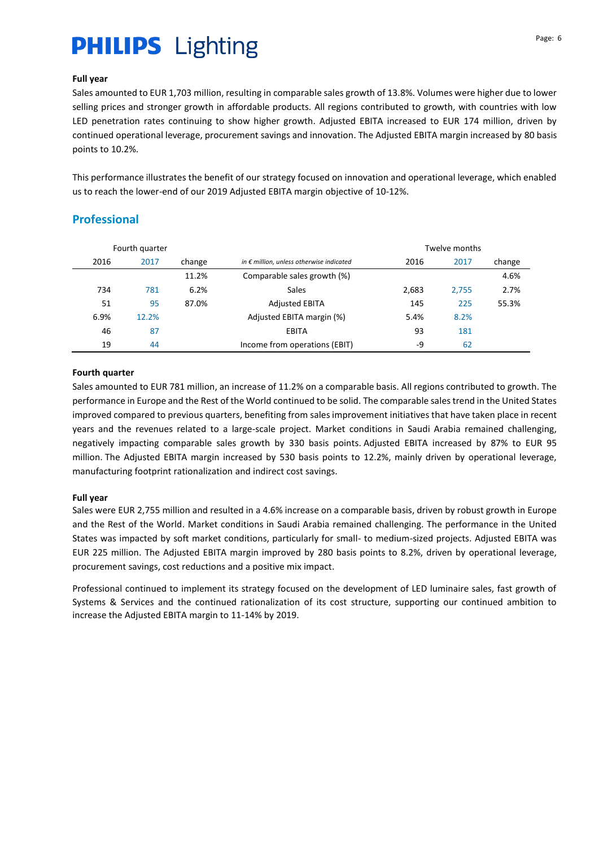### **Full year**

Sales amounted to EUR 1,703 million, resulting in comparable sales growth of 13.8%. Volumes were higher due to lower selling prices and stronger growth in affordable products. All regions contributed to growth, with countries with low LED penetration rates continuing to show higher growth. Adjusted EBITA increased to EUR 174 million, driven by continued operational leverage, procurement savings and innovation. The Adjusted EBITA margin increased by 80 basis points to 10.2%.

This performance illustrates the benefit of our strategy focused on innovation and operational leverage, which enabled us to reach the lower-end of our 2019 Adjusted EBITA margin objective of 10-12%.

# **Professional**

|      | Fourth quarter |        |                                                   |       | Twelve months |        |
|------|----------------|--------|---------------------------------------------------|-------|---------------|--------|
| 2016 | 2017           | change | in $\epsilon$ million, unless otherwise indicated | 2016  | 2017          | change |
|      |                | 11.2%  | Comparable sales growth (%)                       |       |               | 4.6%   |
| 734  | 781            | 6.2%   | Sales                                             | 2,683 | 2.755         | 2.7%   |
| 51   | 95             | 87.0%  | <b>Adjusted EBITA</b>                             | 145   | 225           | 55.3%  |
| 6.9% | 12.2%          |        | Adjusted EBITA margin (%)                         | 5.4%  | 8.2%          |        |
| 46   | 87             |        | EBITA                                             | 93    | 181           |        |
| 19   | 44             |        | Income from operations (EBIT)                     | -9    | 62            |        |

### **Fourth quarter**

Sales amounted to EUR 781 million, an increase of 11.2% on a comparable basis. All regions contributed to growth. The performance in Europe and the Rest of the World continued to be solid. The comparable sales trend in the United States improved compared to previous quarters, benefiting from sales improvement initiatives that have taken place in recent years and the revenues related to a large-scale project. Market conditions in Saudi Arabia remained challenging, negatively impacting comparable sales growth by 330 basis points. Adjusted EBITA increased by 87% to EUR 95 million. The Adjusted EBITA margin increased by 530 basis points to 12.2%, mainly driven by operational leverage, manufacturing footprint rationalization and indirect cost savings.

### **Full year**

Sales were EUR 2,755 million and resulted in a 4.6% increase on a comparable basis, driven by robust growth in Europe and the Rest of the World. Market conditions in Saudi Arabia remained challenging. The performance in the United States was impacted by soft market conditions, particularly for small- to medium-sized projects. Adjusted EBITA was EUR 225 million. The Adjusted EBITA margin improved by 280 basis points to 8.2%, driven by operational leverage, procurement savings, cost reductions and a positive mix impact.

Professional continued to implement its strategy focused on the development of LED luminaire sales, fast growth of Systems & Services and the continued rationalization of its cost structure, supporting our continued ambition to increase the Adjusted EBITA margin to 11-14% by 2019.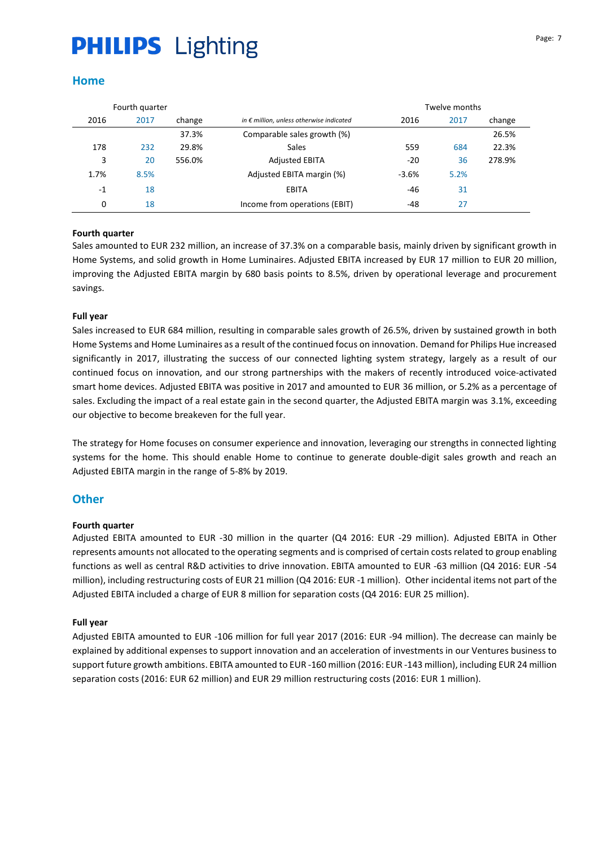### **Home**

|      | Fourth quarter |        |                                                   |         | Twelve months |        |
|------|----------------|--------|---------------------------------------------------|---------|---------------|--------|
| 2016 | 2017           | change | in $\epsilon$ million, unless otherwise indicated | 2016    | 2017          | change |
|      |                | 37.3%  | Comparable sales growth (%)                       |         |               | 26.5%  |
| 178  | 232            | 29.8%  | Sales                                             | 559     | 684           | 22.3%  |
| 3    | 20             | 556.0% | <b>Adjusted EBITA</b>                             | $-20$   | 36            | 278.9% |
| 1.7% | 8.5%           |        | Adjusted EBITA margin (%)                         | $-3.6%$ | 5.2%          |        |
| $-1$ | 18             |        | <b>EBITA</b>                                      | -46     | 31            |        |
| 0    | 18             |        | Income from operations (EBIT)                     | -48     | 27            |        |

### **Fourth quarter**

Sales amounted to EUR 232 million, an increase of 37.3% on a comparable basis, mainly driven by significant growth in Home Systems, and solid growth in Home Luminaires. Adjusted EBITA increased by EUR 17 million to EUR 20 million, improving the Adjusted EBITA margin by 680 basis points to 8.5%, driven by operational leverage and procurement savings.

### **Full year**

Sales increased to EUR 684 million, resulting in comparable sales growth of 26.5%, driven by sustained growth in both Home Systems and Home Luminaires as a result of the continued focus on innovation. Demand for Philips Hue increased significantly in 2017, illustrating the success of our connected lighting system strategy, largely as a result of our continued focus on innovation, and our strong partnerships with the makers of recently introduced voice-activated smart home devices. Adjusted EBITA was positive in 2017 and amounted to EUR 36 million, or 5.2% as a percentage of sales. Excluding the impact of a real estate gain in the second quarter, the Adjusted EBITA margin was 3.1%, exceeding our objective to become breakeven for the full year.

The strategy for Home focuses on consumer experience and innovation, leveraging our strengths in connected lighting systems for the home. This should enable Home to continue to generate double-digit sales growth and reach an Adjusted EBITA margin in the range of 5-8% by 2019.

### **Other**

### **Fourth quarter**

Adjusted EBITA amounted to EUR -30 million in the quarter (Q4 2016: EUR -29 million). Adjusted EBITA in Other represents amounts not allocated to the operating segments and is comprised of certain costs related to group enabling functions as well as central R&D activities to drive innovation. EBITA amounted to EUR -63 million (Q4 2016: EUR -54 million), including restructuring costs of EUR 21 million (Q4 2016: EUR -1 million). Other incidental items not part of the Adjusted EBITA included a charge of EUR 8 million for separation costs (Q4 2016: EUR 25 million).

### **Full year**

Adjusted EBITA amounted to EUR -106 million for full year 2017 (2016: EUR -94 million). The decrease can mainly be explained by additional expenses to support innovation and an acceleration of investments in our Ventures business to support future growth ambitions. EBITA amounted to EUR -160 million (2016: EUR -143 million), including EUR 24 million separation costs (2016: EUR 62 million) and EUR 29 million restructuring costs (2016: EUR 1 million).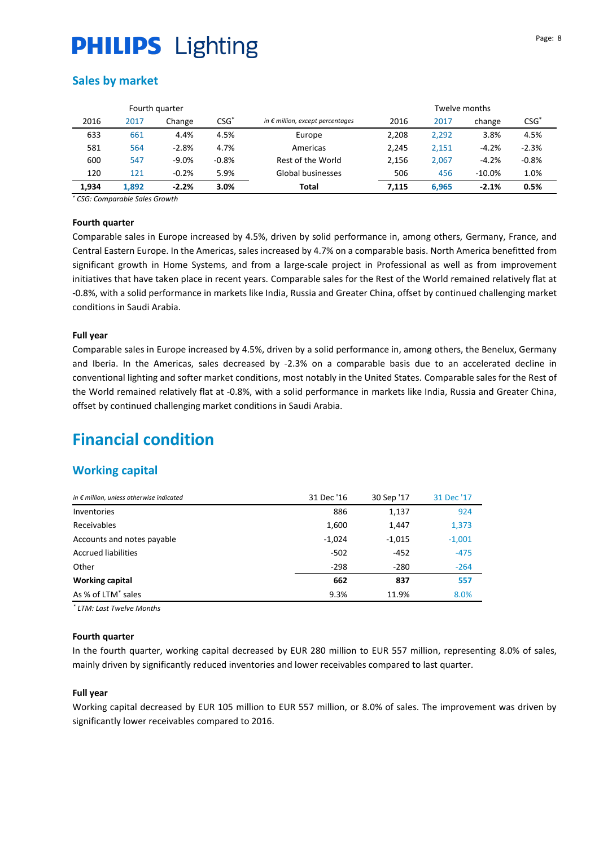## **Sales by market**

|       |       | Fourth quarter |         |                                           |       | Twelve months |          |         |
|-------|-------|----------------|---------|-------------------------------------------|-------|---------------|----------|---------|
| 2016  | 2017  | Change         | $CSG*$  | in $\epsilon$ million, except percentages | 2016  | 2017          | change   | $CSG^*$ |
| 633   | 661   | 4.4%           | 4.5%    | Europe                                    | 2,208 | 2,292         | 3.8%     | 4.5%    |
| 581   | 564   | $-2.8%$        | 4.7%    | Americas                                  | 2,245 | 2,151         | $-4.2%$  | $-2.3%$ |
| 600   | 547   | $-9.0%$        | $-0.8%$ | Rest of the World                         | 2,156 | 2.067         | $-4.2%$  | $-0.8%$ |
| 120   | 121   | $-0.2%$        | 5.9%    | Global businesses                         | 506   | 456           | $-10.0%$ | 1.0%    |
| 1,934 | 1.892 | $-2.2%$        | 3.0%    | Total                                     | 7,115 | 6,965         | $-2.1%$  | 0.5%    |

*\* CSG: Comparable Sales Growth*

#### **Fourth quarter**

Comparable sales in Europe increased by 4.5%, driven by solid performance in, among others, Germany, France, and Central Eastern Europe. In the Americas, sales increased by 4.7% on a comparable basis. North America benefitted from significant growth in Home Systems, and from a large-scale project in Professional as well as from improvement initiatives that have taken place in recent years. Comparable sales for the Rest of the World remained relatively flat at -0.8%, with a solid performance in markets like India, Russia and Greater China, offset by continued challenging market conditions in Saudi Arabia.

#### **Full year**

Comparable sales in Europe increased by 4.5%, driven by a solid performance in, among others, the Benelux, Germany and Iberia. In the Americas, sales decreased by -2.3% on a comparable basis due to an accelerated decline in conventional lighting and softer market conditions, most notably in the United States. Comparable sales for the Rest of the World remained relatively flat at -0.8%, with a solid performance in markets like India, Russia and Greater China, offset by continued challenging market conditions in Saudi Arabia.

# **Financial condition**

### **Working capital**

| in $\epsilon$ million, unless otherwise indicated | 31 Dec '16 | 30 Sep '17 | 31 Dec '17 |
|---------------------------------------------------|------------|------------|------------|
| Inventories                                       | 886        | 1,137      | 924        |
| Receivables                                       | 1,600      | 1,447      | 1,373      |
| Accounts and notes payable                        | $-1,024$   | $-1,015$   | $-1,001$   |
| <b>Accrued liabilities</b>                        | $-502$     | $-452$     | $-475$     |
| Other                                             | $-298$     | $-280$     | $-264$     |
| <b>Working capital</b>                            | 662        | 837        | 557        |
| As % of LTM <sup>*</sup> sales                    | 9.3%       | 11.9%      | 8.0%       |

*\* LTM: Last Twelve Months* 6,965

#### **Fourth quarter**

In the fourth quarter, working capital decreased by EUR 280 million to EUR 557 million, representing 8.0% of sales, mainly driven by significantly reduced inventories and lower receivables compared to last quarter.

#### **Full year**

Working capital decreased by EUR 105 million to EUR 557 million, or 8.0% of sales. The improvement was driven by significantly lower receivables compared to 2016.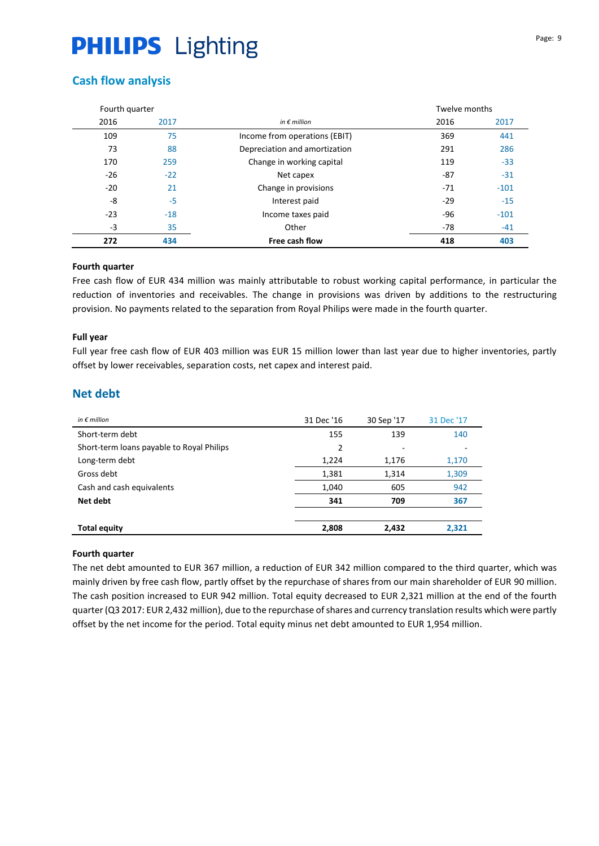# **Cash flow analysis**

| Fourth quarter |       |                               | Twelve months |        |
|----------------|-------|-------------------------------|---------------|--------|
| 2016           | 2017  | in $\epsilon$ million         | 2016          | 2017   |
| 109            | 75    | Income from operations (EBIT) | 369           | 441    |
| 73             | 88    | Depreciation and amortization | 291           | 286    |
| 170            | 259   | Change in working capital     | 119           | $-33$  |
| $-26$          | $-22$ | Net capex                     | -87           | $-31$  |
| $-20$          | 21    | Change in provisions          | $-71$         | $-101$ |
| -8             | -5    | Interest paid                 | $-29$         | $-15$  |
| $-23$          | $-18$ | Income taxes paid             | -96           | $-101$ |
| $-3$           | 35    | Other                         | $-78$         | $-41$  |
| 272            | 434   | Free cash flow                | 418           | 403    |

### **Fourth quarter**

Free cash flow of EUR 434 million was mainly attributable to robust working capital performance, in particular the reduction of inventories and receivables. The change in provisions was driven by additions to the restructuring provision. No payments related to the separation from Royal Philips were made in the fourth quarter.

### **Full year**

Full year free cash flow of EUR 403 million was EUR 15 million lower than last year due to higher inventories, partly offset by lower receivables, separation costs, net capex and interest paid.

# **Net debt**

| in $\notin$ million                       | 31 Dec '16 | 30 Sep '17 | 31 Dec '17 |
|-------------------------------------------|------------|------------|------------|
| Short-term debt                           | 155        | 139        | 140        |
| Short-term loans payable to Royal Philips | 2          |            |            |
| Long-term debt                            | 1,224      | 1,176      | 1,170      |
| Gross debt                                | 1,381      | 1,314      | 1,309      |
| Cash and cash equivalents                 | 1,040      | 605        | 942        |
| Net debt                                  | 341        | 709        | 367        |
|                                           |            |            |            |
| <b>Total equity</b>                       | 2,808      | 2,432      | 2,321      |

### **Fourth quarter**

The net debt amounted to EUR 367 million, a reduction of EUR 342 million compared to the third quarter, which was mainly driven by free cash flow, partly offset by the repurchase of shares from our main shareholder of EUR 90 million. The cash position increased to EUR 942 million. Total equity decreased to EUR 2,321 million at the end of the fourth quarter (Q3 2017: EUR 2,432 million), due to the repurchase of shares and currency translation results which were partly offset by the net income for the period. Total equity minus net debt amounted to EUR 1,954 million.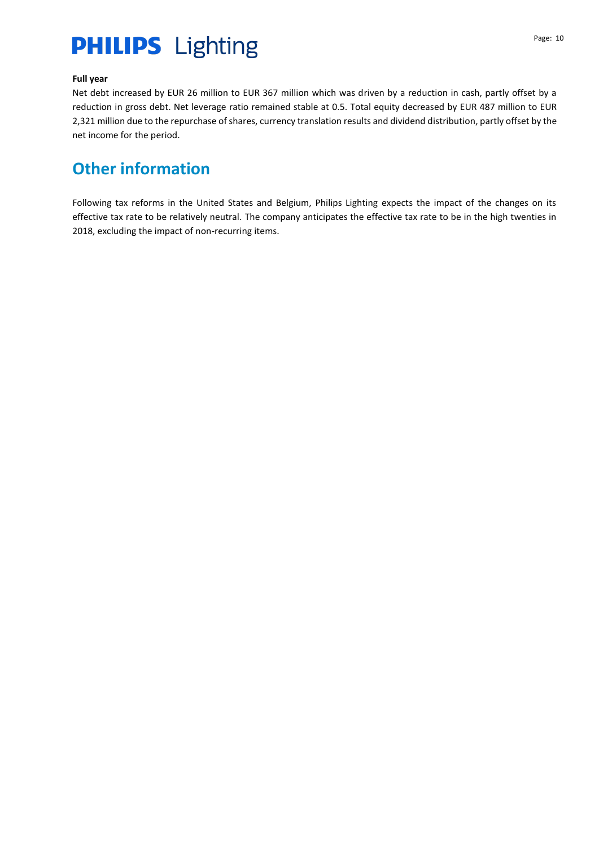### **Full year**

Net debt increased by EUR 26 million to EUR 367 million which was driven by a reduction in cash, partly offset by a reduction in gross debt. Net leverage ratio remained stable at 0.5. Total equity decreased by EUR 487 million to EUR 2,321 million due to the repurchase of shares, currency translation results and dividend distribution, partly offset by the net income for the period.

# **Other information**

Following tax reforms in the United States and Belgium, Philips Lighting expects the impact of the changes on its effective tax rate to be relatively neutral. The company anticipates the effective tax rate to be in the high twenties in 2018, excluding the impact of non-recurring items.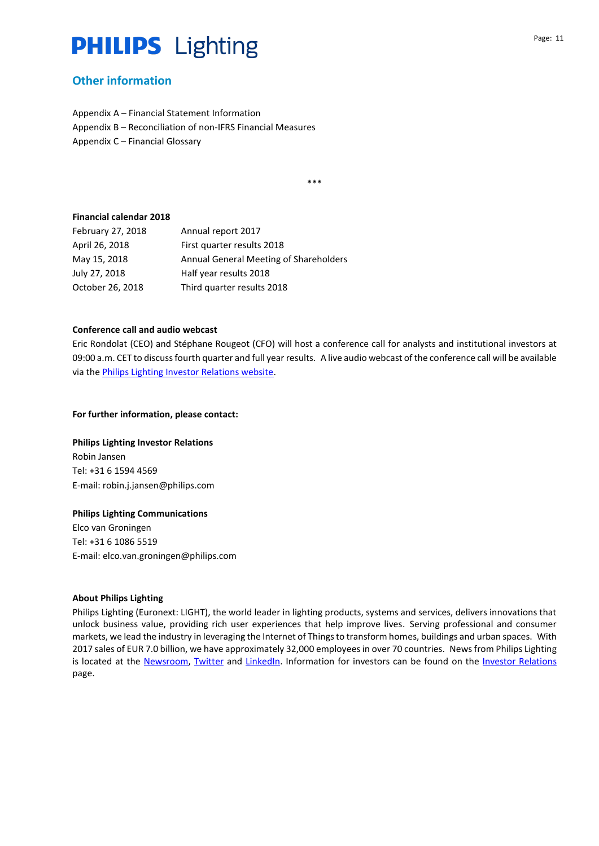## **Other information**

Appendix A – Financial Statement Information Appendix B – Reconciliation of non-IFRS Financial Measures Appendix C – Financial Glossary

\*\*\*

#### **Financial calendar 2018**

| February 27, 2018 | Annual report 2017                     |
|-------------------|----------------------------------------|
| April 26, 2018    | First quarter results 2018             |
| May 15, 2018      | Annual General Meeting of Shareholders |
| July 27, 2018     | Half year results 2018                 |
| October 26, 2018  | Third quarter results 2018             |

#### **Conference call and audio webcast**

Eric Rondolat (CEO) and Stéphane Rougeot (CFO) will host a conference call for analysts and institutional investors at 09:00 a.m. CET to discuss fourth quarter and full year results. A live audio webcast of the conference call will be available via th[e Philips Lighting Investor Relations website.](http://www.lighting.philips.com/main/investor/)

#### **For further information, please contact:**

### **Philips Lighting Investor Relations**

Robin Jansen Tel: +31 6 1594 4569 E-mail: [robin.j.jansen@philips.com](mailto:robin.j.jansen@philips.com)

#### **Philips Lighting Communications**

Elco van Groningen Tel: +31 6 1086 5519 E-mail: [elco.van.groningen@philips.com](mailto:elco.van.groningen@philips.com)

#### **About Philips Lighting**

Philips Lighting (Euronext: LIGHT), the world leader in lighting products, systems and services, delivers innovations that unlock business value, providing rich user experiences that help improve lives. Serving professional and consumer markets, we lead the industry in leveraging the Internet of Things to transform homes, buildings and urban spaces. With 2017 sales of EUR 7.0 billion, we have approximately 32,000 employees in over 70 countries. News from Philips Lighting is located at the [Newsroom,](http://www.newsroom.lighting.philips.com/) [Twitter](https://twitter.com/Lighting_Press) and [LinkedIn.](https://www.linkedin.com/showcase/18082655/) Information for investors can be found on the [Investor Relations](http://www.lighting.philips.com/main/investor) page.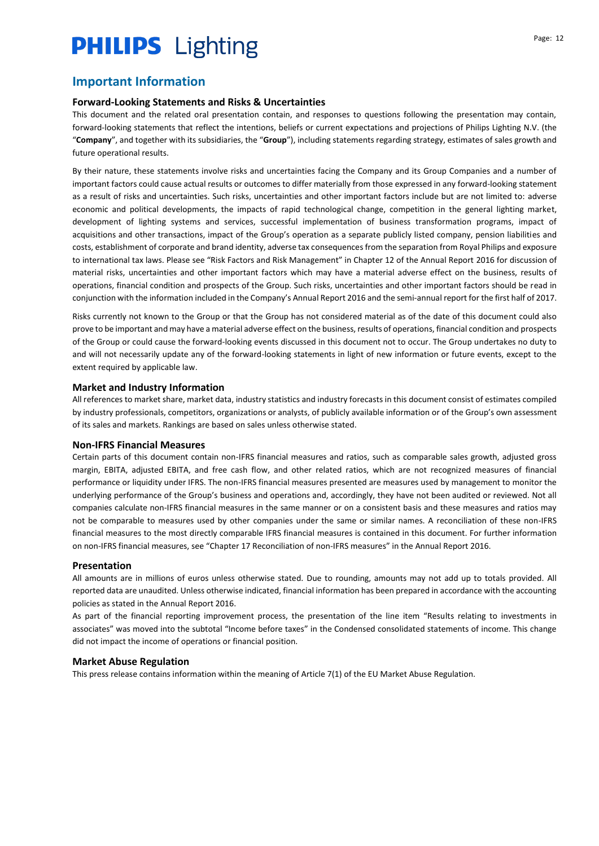# **Important Information**

### **Forward-Looking Statements and Risks & Uncertainties**

This document and the related oral presentation contain, and responses to questions following the presentation may contain, forward-looking statements that reflect the intentions, beliefs or current expectations and projections of Philips Lighting N.V. (the "**Company**", and together with its subsidiaries, the "**Group**"), including statements regarding strategy, estimates of sales growth and future operational results.

By their nature, these statements involve risks and uncertainties facing the Company and its Group Companies and a number of important factors could cause actual results or outcomes to differ materially from those expressed in any forward-looking statement as a result of risks and uncertainties. Such risks, uncertainties and other important factors include but are not limited to: adverse economic and political developments, the impacts of rapid technological change, competition in the general lighting market, development of lighting systems and services, successful implementation of business transformation programs, impact of acquisitions and other transactions, impact of the Group's operation as a separate publicly listed company, pension liabilities and costs, establishment of corporate and brand identity, adverse tax consequences from the separation from Royal Philips and exposure to international tax laws. Please see "Risk Factors and Risk Management" in Chapter 12 of the Annual Report 2016 for discussion of material risks, uncertainties and other important factors which may have a material adverse effect on the business, results of operations, financial condition and prospects of the Group. Such risks, uncertainties and other important factors should be read in conjunction with the information included in the Company's Annual Report 2016 and the semi-annual report for the first half of 2017.

Risks currently not known to the Group or that the Group has not considered material as of the date of this document could also prove to be important and may have a material adverse effect on the business, results of operations, financial condition and prospects of the Group or could cause the forward-looking events discussed in this document not to occur. The Group undertakes no duty to and will not necessarily update any of the forward-looking statements in light of new information or future events, except to the extent required by applicable law.

#### **Market and Industry Information**

All references to market share, market data, industry statistics and industry forecasts in this document consist of estimates compiled by industry professionals, competitors, organizations or analysts, of publicly available information or of the Group's own assessment of its sales and markets. Rankings are based on sales unless otherwise stated.

#### **Non-IFRS Financial Measures**

Certain parts of this document contain non-IFRS financial measures and ratios, such as comparable sales growth, adjusted gross margin, EBITA, adjusted EBITA, and free cash flow, and other related ratios, which are not recognized measures of financial performance or liquidity under IFRS. The non-IFRS financial measures presented are measures used by management to monitor the underlying performance of the Group's business and operations and, accordingly, they have not been audited or reviewed. Not all companies calculate non-IFRS financial measures in the same manner or on a consistent basis and these measures and ratios may not be comparable to measures used by other companies under the same or similar names. A reconciliation of these non-IFRS financial measures to the most directly comparable IFRS financial measures is contained in this document. For further information on non-IFRS financial measures, see "Chapter 17 Reconciliation of non-IFRS measures" in the Annual Report 2016.

#### **Presentation**

All amounts are in millions of euros unless otherwise stated. Due to rounding, amounts may not add up to totals provided. All reported data are unaudited. Unless otherwise indicated, financial information has been prepared in accordance with the accounting policies as stated in the Annual Report 2016.

As part of the financial reporting improvement process, the presentation of the line item "Results relating to investments in associates" was moved into the subtotal "Income before taxes" in the Condensed consolidated statements of income. This change did not impact the income of operations or financial position.

#### **Market Abuse Regulation**

This press release contains information within the meaning of Article 7(1) of the EU Market Abuse Regulation.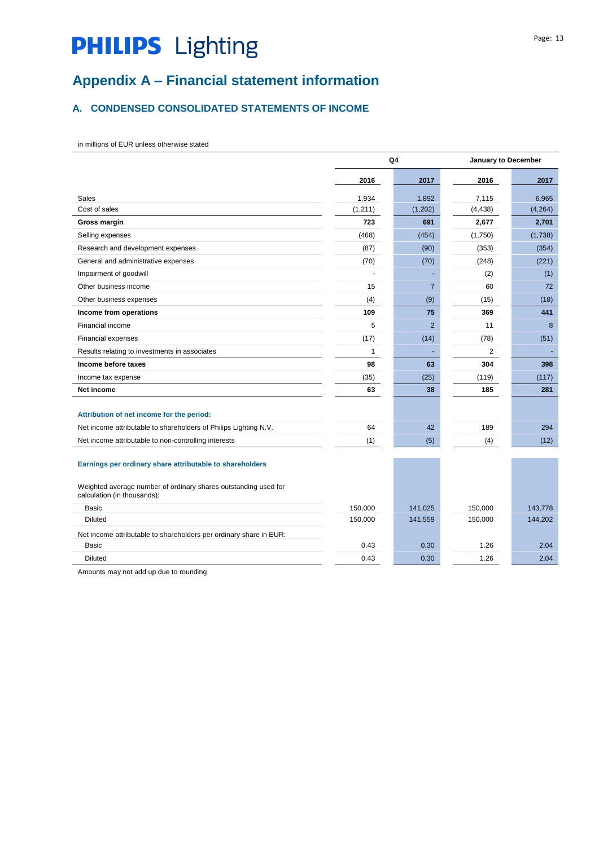# **Appendix A – Financial statement information**

## **A. CONDENSED CONSOLIDATED STATEMENTS OF INCOME**

in millions of EUR unless otherwise stated

|                                                                                                                                                            |         | Q4             |                | January to December |  |
|------------------------------------------------------------------------------------------------------------------------------------------------------------|---------|----------------|----------------|---------------------|--|
|                                                                                                                                                            | 2016    | 2017           | 2016           | 2017                |  |
| Sales                                                                                                                                                      | 1,934   | 1,892          | 7,115          | 6,965               |  |
| Cost of sales                                                                                                                                              | (1,211) | (1,202)        | (4, 438)       | (4, 264)            |  |
| Gross margin                                                                                                                                               | 723     | 691            | 2,677          | 2,701               |  |
| Selling expenses                                                                                                                                           | (468)   | (454)          | (1,750)        | (1,738)             |  |
| Research and development expenses                                                                                                                          | (87)    | (90)           | (353)          | (354)               |  |
| General and administrative expenses                                                                                                                        | (70)    | (70)           | (248)          | (221)               |  |
| Impairment of goodwill                                                                                                                                     |         |                | (2)            | (1)                 |  |
| Other business income                                                                                                                                      | 15      | $\overline{7}$ | 60             | 72                  |  |
| Other business expenses                                                                                                                                    | (4)     | (9)            | (15)           | (18)                |  |
| Income from operations                                                                                                                                     | 109     | 75             | 369            | 441                 |  |
| Financial income                                                                                                                                           | 5       | 2              | 11             | 8                   |  |
| <b>Financial expenses</b>                                                                                                                                  | (17)    | (14)           | (78)           | (51)                |  |
| Results relating to investments in associates                                                                                                              | 1       |                | $\overline{2}$ |                     |  |
| Income before taxes                                                                                                                                        | 98      | 63             | 304            | 398                 |  |
| Income tax expense                                                                                                                                         | (35)    | (25)           | (119)          | (117)               |  |
| Net income                                                                                                                                                 | 63      | 38             | 185            | 281                 |  |
| Attribution of net income for the period:                                                                                                                  |         |                |                |                     |  |
| Net income attributable to shareholders of Philips Lighting N.V.                                                                                           | 64      | 42             | 189            | 294                 |  |
| Net income attributable to non-controlling interests                                                                                                       | (1)     | (5)            | (4)            | (12)                |  |
| Earnings per ordinary share attributable to shareholders<br>Weighted average number of ordinary shares outstanding used for<br>calculation (in thousands): |         |                |                |                     |  |
| Basic                                                                                                                                                      | 150,000 | 141,025        | 150,000        | 143,778             |  |
| <b>Diluted</b>                                                                                                                                             | 150,000 | 141,559        | 150,000        | 144,202             |  |
| Net income attributable to shareholders per ordinary share in EUR:                                                                                         |         |                |                |                     |  |
| Basic                                                                                                                                                      | 0.43    | 0.30           | 1.26           | 2.04                |  |
| <b>Diluted</b>                                                                                                                                             | 0.43    | 0.30           | 1.26           | 2.04                |  |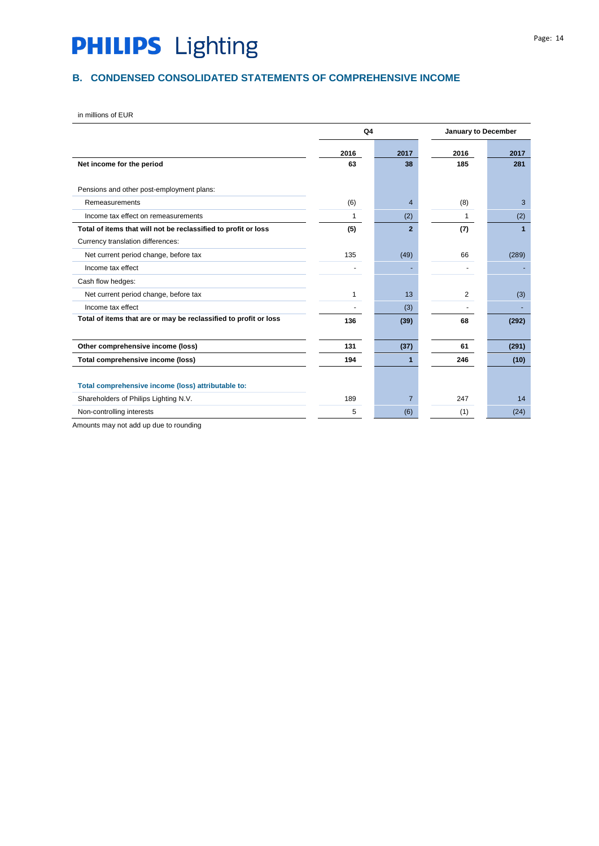# **B. CONDENSED CONSOLIDATED STATEMENTS OF COMPREHENSIVE INCOME**

in millions of EUR

|                                                                  | Q <sub>4</sub> |                | January to December |       |  |
|------------------------------------------------------------------|----------------|----------------|---------------------|-------|--|
|                                                                  | 2016           | 2017           | 2016                | 2017  |  |
| Net income for the period                                        | 63             | 38             | 185                 | 281   |  |
| Pensions and other post-employment plans:                        |                |                |                     |       |  |
| Remeasurements                                                   | (6)            | 4              | (8)                 | 3     |  |
| Income tax effect on remeasurements                              | 1              | (2)            | 1                   | (2)   |  |
| Total of items that will not be reclassified to profit or loss   | (5)            | $\overline{2}$ | (7)                 | 1     |  |
| Currency translation differences:                                |                |                |                     |       |  |
| Net current period change, before tax                            | 135            | (49)           | 66                  | (289) |  |
| Income tax effect                                                |                |                |                     |       |  |
| Cash flow hedges:                                                |                |                |                     |       |  |
| Net current period change, before tax                            | 1              | 13             | 2                   | (3)   |  |
| Income tax effect                                                |                | (3)            |                     |       |  |
| Total of items that are or may be reclassified to profit or loss | 136            | (39)           | 68                  | (292) |  |
|                                                                  |                |                |                     |       |  |
| Other comprehensive income (loss)                                | 131            | (37)           | 61                  | (291) |  |
| Total comprehensive income (loss)                                | 194            |                | 246                 | (10)  |  |
|                                                                  |                |                |                     |       |  |
| Total comprehensive income (loss) attributable to:               |                |                |                     |       |  |
| Shareholders of Philips Lighting N.V.                            | 189            | $\overline{7}$ | 247                 | 14    |  |
| Non-controlling interests                                        | 5              | (6)            | (1)                 | (24)  |  |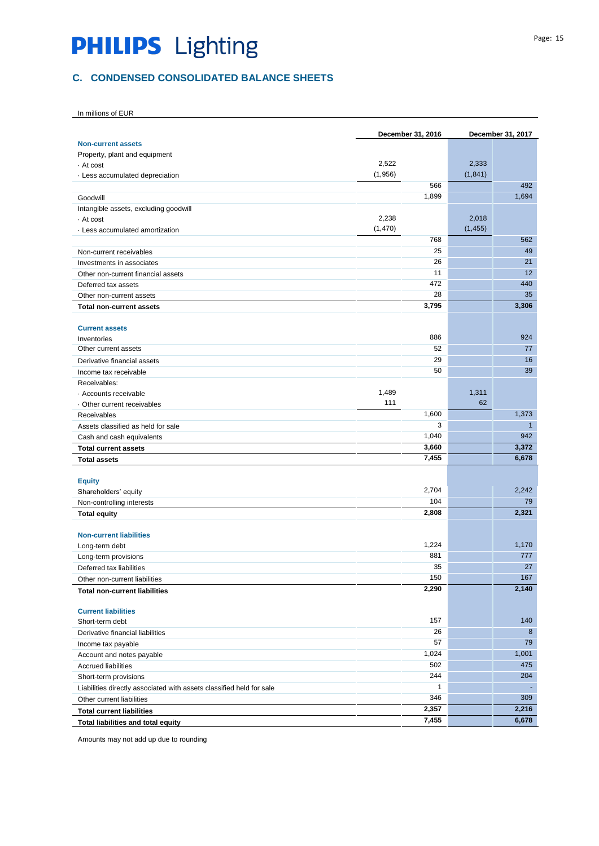## **C. CONDENSED CONSOLIDATED BALANCE SHEETS**

|                                                                      |          | December 31, 2016 |          | December 31, 2017 |
|----------------------------------------------------------------------|----------|-------------------|----------|-------------------|
| <b>Non-current assets</b>                                            |          |                   |          |                   |
| Property, plant and equipment                                        |          |                   |          |                   |
| - At cost                                                            | 2,522    |                   | 2,333    |                   |
| · Less accumulated depreciation                                      | (1,956)  |                   | (1, 841) |                   |
|                                                                      |          | 566               |          | 492               |
| Goodwill                                                             |          | 1,899             |          | 1,694             |
| Intangible assets, excluding goodwill                                |          |                   |          |                   |
| - At cost                                                            | 2,238    |                   | 2,018    |                   |
| Less accumulated amortization                                        | (1, 470) |                   | (1, 455) |                   |
|                                                                      |          | 768               |          | 562               |
| Non-current receivables                                              |          | 25                |          | 49                |
| Investments in associates                                            |          | 26                |          | 21                |
| Other non-current financial assets                                   |          | 11                |          | 12                |
| Deferred tax assets                                                  |          | 472               |          | 440               |
| Other non-current assets                                             |          | 28                |          | 35                |
| <b>Total non-current assets</b>                                      |          | 3,795             |          | 3,306             |
|                                                                      |          |                   |          |                   |
| <b>Current assets</b>                                                |          | 886               |          |                   |
| Inventories                                                          |          | 52                |          | 924<br>77         |
| Other current assets                                                 |          |                   |          |                   |
| Derivative financial assets                                          |          | 29<br>50          |          | 16                |
| Income tax receivable                                                |          |                   |          | 39                |
| Receivables:                                                         | 1,489    |                   | 1,311    |                   |
| · Accounts receivable                                                | 111      |                   | 62       |                   |
| Other current receivables                                            |          | 1,600             |          | 1,373             |
| Receivables                                                          |          | 3                 |          | $\mathbf{1}$      |
| Assets classified as held for sale                                   |          | 1,040             |          | 942               |
| Cash and cash equivalents                                            |          | 3,660             |          | 3,372             |
| <b>Total current assets</b>                                          |          | 7,455             |          | 6,678             |
| <b>Total assets</b>                                                  |          |                   |          |                   |
| <b>Equity</b>                                                        |          |                   |          |                   |
| Shareholders' equity                                                 |          | 2,704             |          | 2,242             |
| Non-controlling interests                                            |          | 104               |          | 79                |
| <b>Total equity</b>                                                  |          | 2,808             |          | 2,321             |
|                                                                      |          |                   |          |                   |
| <b>Non-current liabilities</b>                                       |          |                   |          |                   |
| Long-term debt                                                       |          | 1,224             |          | 1,170             |
| Long-term provisions                                                 |          | 881               |          | 777               |
| Deferred tax liabilities                                             |          | 35                |          | 27                |
| Other non-current liabilities                                        |          | 150               |          | 167               |
| <b>Total non-current liabilities</b>                                 |          | 2,290             |          | 2,140             |
|                                                                      |          |                   |          |                   |
| <b>Current liabilities</b>                                           |          |                   |          |                   |
| Short-term debt                                                      |          | 157               |          | 140               |
| Derivative financial liabilities                                     |          | 26                |          | 8                 |
| Income tax payable                                                   |          | 57                |          | 79                |
| Account and notes payable                                            |          | 1,024             |          | 1,001             |
| <b>Accrued liabilities</b>                                           |          | 502               |          | 475               |
| Short-term provisions                                                |          | 244               |          | 204               |
| Liabilities directly associated with assets classified held for sale |          | $\mathbf{1}$      |          | $\blacksquare$    |
| Other current liabilities                                            |          | 346               |          | 309               |
| <b>Total current liabilities</b>                                     |          | 2,357             |          | 2,216             |
| Total liabilities and total equity                                   |          | 7,455             |          | 6,678             |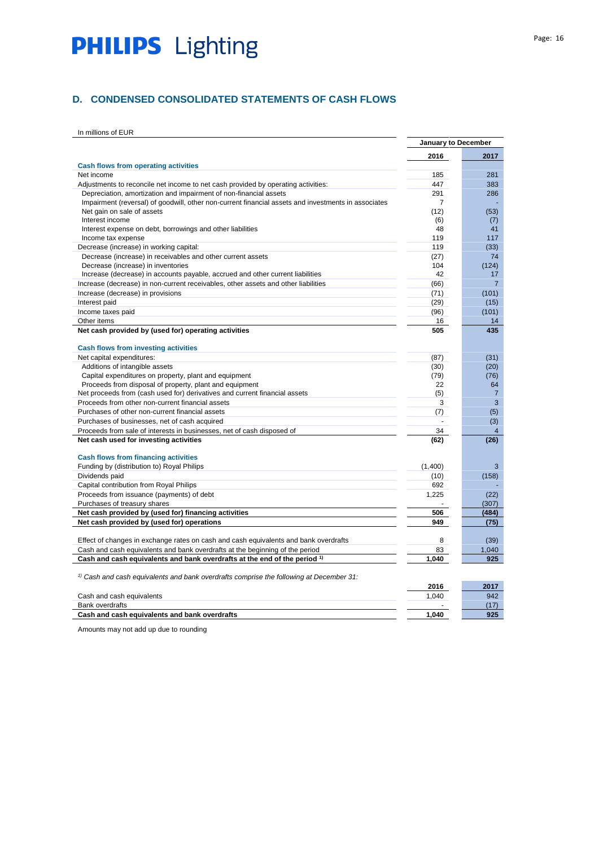## **D. CONDENSED CONSOLIDATED STATEMENTS OF CASH FLOWS**

In millions of EUR

|                                                                                                     | January to December |                |
|-----------------------------------------------------------------------------------------------------|---------------------|----------------|
|                                                                                                     | 2016                | 2017           |
| <b>Cash flows from operating activities</b>                                                         |                     |                |
| Net income                                                                                          | 185                 | 281            |
| Adjustments to reconcile net income to net cash provided by operating activities:                   | 447                 | 383            |
| Depreciation, amortization and impairment of non-financial assets                                   | 291                 | 286            |
| Impairment (reversal) of goodwill, other non-current financial assets and investments in associates | 7                   |                |
| Net gain on sale of assets                                                                          | (12)                | (53)           |
| Interest income                                                                                     | (6)                 | (7)            |
| Interest expense on debt, borrowings and other liabilities                                          | 48                  | 41             |
| Income tax expense                                                                                  | 119                 | 117            |
| Decrease (increase) in working capital:                                                             | 119                 | (33)           |
| Decrease (increase) in receivables and other current assets                                         | (27)                | 74             |
| Decrease (increase) in inventories                                                                  | 104                 | (124)          |
| Increase (decrease) in accounts payable, accrued and other current liabilities                      | 42                  | 17             |
| Increase (decrease) in non-current receivables, other assets and other liabilities                  | (66)                | $\overline{7}$ |
| Increase (decrease) in provisions                                                                   | (71)                | (101)          |
| Interest paid                                                                                       | (29)                | (15)           |
| Income taxes paid                                                                                   | (96)                | (101)          |
| Other items                                                                                         | 16                  | 14             |
| Net cash provided by (used for) operating activities                                                | 505                 | 435            |
| <b>Cash flows from investing activities</b>                                                         |                     |                |
| Net capital expenditures:                                                                           | (87)                | (31)           |
| Additions of intangible assets                                                                      | (30)                | (20)           |
| Capital expenditures on property, plant and equipment                                               | (79)                | (76)           |
| Proceeds from disposal of property, plant and equipment                                             | 22                  | 64             |
| Net proceeds from (cash used for) derivatives and current financial assets                          | (5)                 | $\overline{7}$ |
| Proceeds from other non-current financial assets                                                    | 3                   | 3              |
| Purchases of other non-current financial assets                                                     | (7)                 | (5)            |
| Purchases of businesses, net of cash acquired                                                       | $\overline{a}$      | (3)            |
| Proceeds from sale of interests in businesses, net of cash disposed of                              | 34                  | $\overline{4}$ |
| Net cash used for investing activities                                                              | (62)                | (26)           |
| <b>Cash flows from financing activities</b>                                                         |                     |                |
| Funding by (distribution to) Royal Philips                                                          | (1,400)             | 3              |
| Dividends paid                                                                                      | (10)                | (158)          |
| Capital contribution from Royal Philips                                                             | 692                 |                |
| Proceeds from issuance (payments) of debt                                                           | 1,225               | (22)           |
| Purchases of treasury shares                                                                        |                     | (307)          |
| Net cash provided by (used for) financing activities                                                | 506                 | (484)          |
| Net cash provided by (used for) operations                                                          | 949                 | (75)           |
|                                                                                                     |                     |                |
| Effect of changes in exchange rates on cash and cash equivalents and bank overdrafts                | 8                   | (39)           |
| Cash and cash equivalents and bank overdrafts at the beginning of the period                        | 83                  | 1,040          |
| Cash and cash equivalents and bank overdrafts at the end of the period 1)                           | 1.040               | 925            |
| $\beta$ Cash and cash equivalents and bank overdrafts comprise the following at December 31:        |                     |                |
|                                                                                                     | 2016                | 2017           |
| Cash and cash equivalents                                                                           | 1.040               | 942            |
| <b>Bank overdrafts</b>                                                                              |                     | (17)           |
| Cash and cash equivalents and bank overdrafts                                                       | 1.040               | 925            |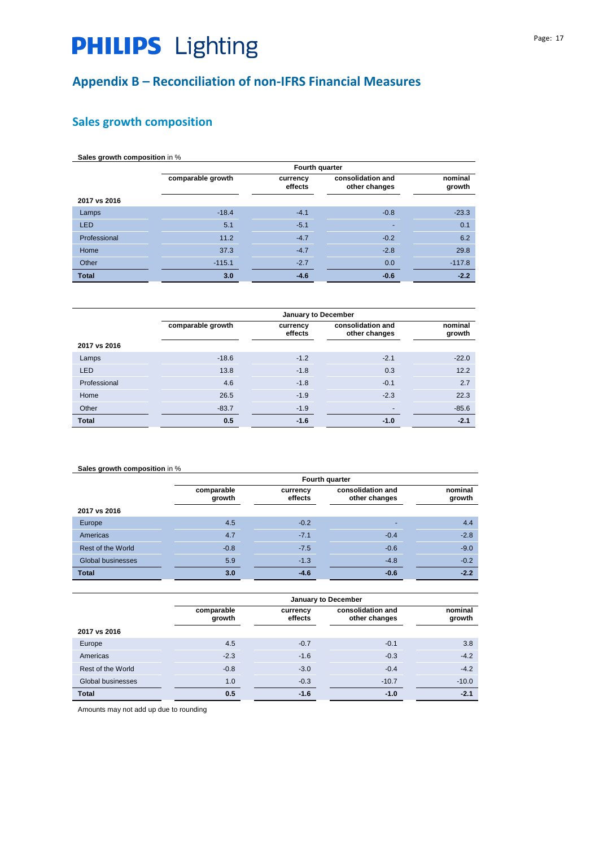# **Appendix B – Reconciliation of non-IFRS Financial Measures**

# **Sales growth composition**

| Sales growth composition in % |                   |                     |                                    |                   |
|-------------------------------|-------------------|---------------------|------------------------------------|-------------------|
|                               |                   | Fourth quarter      |                                    |                   |
|                               | comparable growth | currency<br>effects | consolidation and<br>other changes | nominal<br>growth |
| 2017 vs 2016                  |                   |                     |                                    |                   |
| Lamps                         | $-18.4$           | $-4.1$              | $-0.8$                             | $-23.3$           |
| <b>LED</b>                    | 5.1               | $-5.1$              |                                    | 0.1               |
| Professional                  | 11.2              | $-4.7$              | $-0.2$                             | 6.2               |
| Home                          | 37.3              | $-4.7$              | $-2.8$                             | 29.8              |
| Other                         | $-115.1$          | $-2.7$              | 0.0                                | $-117.8$          |
| <b>Total</b>                  | 3.0               | $-4.6$              | $-0.6$                             | $-2.2$            |

|              | January to December |                     |                                    |                   |
|--------------|---------------------|---------------------|------------------------------------|-------------------|
|              | comparable growth   | currency<br>effects | consolidation and<br>other changes | nominal<br>growth |
| 2017 vs 2016 |                     |                     |                                    |                   |
| Lamps        | $-18.6$             | $-1.2$              | $-2.1$                             | $-22.0$           |
| LED          | 13.8                | $-1.8$              | 0.3                                | 12.2              |
| Professional | 4.6                 | $-1.8$              | $-0.1$                             | 2.7               |
| Home         | 26.5                | $-1.9$              | $-2.3$                             | 22.3              |
| Other        | $-83.7$             | $-1.9$              | $\overline{\phantom{a}}$           | $-85.6$           |
| <b>Total</b> | 0.5                 | $-1.6$              | $-1.0$                             | $-2.1$            |

### **Sales growth composition** in %

|                   | Fourth quarter       |                     |                                    |                   |
|-------------------|----------------------|---------------------|------------------------------------|-------------------|
|                   | comparable<br>growth | currency<br>effects | consolidation and<br>other changes | nominal<br>growth |
| 2017 vs 2016      |                      |                     |                                    |                   |
| Europe            | 4.5                  | $-0.2$              |                                    | 4.4               |
| Americas          | 4.7                  | $-7.1$              | $-0.4$                             | $-2.8$            |
| Rest of the World | $-0.8$               | $-7.5$              | $-0.6$                             | $-9.0$            |
| Global businesses | 5.9                  | $-1.3$              | $-4.8$                             | $-0.2$            |
| <b>Total</b>      | 3.0                  | $-4.6$              | $-0.6$                             | $-2.2$            |

|                   | January to December  |                     |                                    |                   |
|-------------------|----------------------|---------------------|------------------------------------|-------------------|
|                   | comparable<br>growth | currency<br>effects | consolidation and<br>other changes | nominal<br>growth |
| 2017 vs 2016      |                      |                     |                                    |                   |
| Europe            | 4.5                  | $-0.7$              | $-0.1$                             | 3.8               |
| Americas          | $-2.3$               | $-1.6$              | $-0.3$                             | $-4.2$            |
| Rest of the World | $-0.8$               | $-3.0$              | $-0.4$                             | $-4.2$            |
| Global businesses | 1.0                  | $-0.3$              | $-10.7$                            | $-10.0$           |
| <b>Total</b>      | 0.5                  | $-1.6$              | $-1.0$                             | $-2.1$            |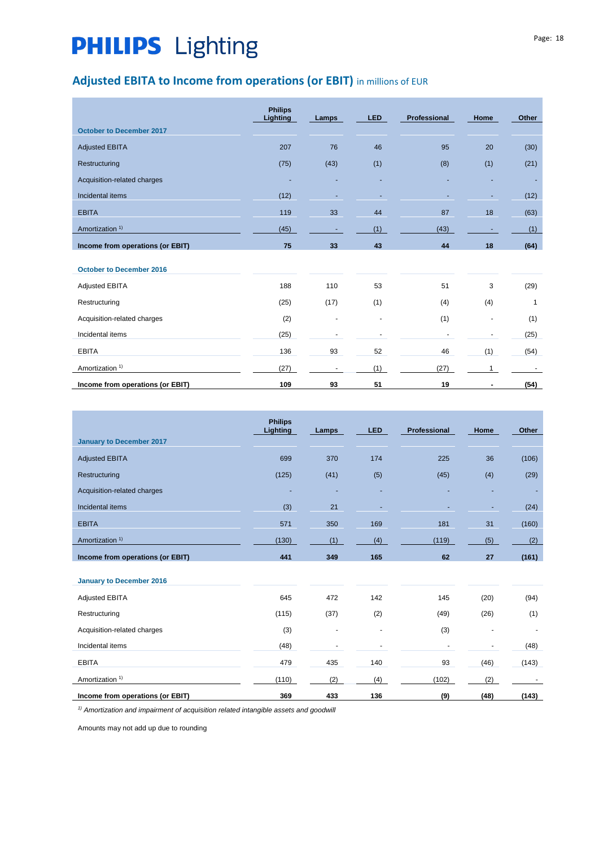# **Adjusted EBITA to Income from operations (or EBIT)** in millions of EUR

|                                  | <b>Philips</b><br><b>Lighting</b> | Lamps | <b>LED</b>               | Professional | Home | Other |
|----------------------------------|-----------------------------------|-------|--------------------------|--------------|------|-------|
| <b>October to December 2017</b>  |                                   |       |                          |              |      |       |
| <b>Adjusted EBITA</b>            | 207                               | 76    | 46                       | 95           | 20   | (30)  |
| Restructuring                    | (75)                              | (43)  | (1)                      | (8)          | (1)  | (21)  |
| Acquisition-related charges      |                                   |       |                          |              |      |       |
| Incidental items                 | (12)                              |       |                          |              |      | (12)  |
| <b>EBITA</b>                     | 119                               | 33    | 44                       | 87           | 18   | (63)  |
| Amortization <sup>1)</sup>       | (45)                              |       | (1)                      | (43)         |      | (1)   |
| Income from operations (or EBIT) | 75                                | 33    | 43                       | 44           | 18   | (64)  |
|                                  |                                   |       |                          |              |      |       |
| <b>October to December 2016</b>  |                                   |       |                          |              |      |       |
| <b>Adjusted EBITA</b>            | 188                               | 110   | 53                       | 51           | 3    | (29)  |
| Restructuring                    | (25)                              | (17)  | (1)                      | (4)          | (4)  | 1     |
| Acquisition-related charges      | (2)                               | ٠     | $\overline{\phantom{a}}$ | (1)          | ٠    | (1)   |
| Incidental items                 | (25)                              |       |                          |              |      | (25)  |
| <b>EBITA</b>                     | 136                               | 93    | 52                       | 46           | (1)  | (54)  |
| Amortization <sup>1)</sup>       | (27)                              |       | (1)                      | (27)         |      |       |
| Income from operations (or EBIT) | 109                               | 93    | 51                       | 19           | -    | (54)  |

|                                  | <b>Philips</b><br>Lighting | Lamps | <b>LED</b> | Professional | Home | Other |
|----------------------------------|----------------------------|-------|------------|--------------|------|-------|
| <b>January to December 2017</b>  |                            |       |            |              |      |       |
| <b>Adjusted EBITA</b>            | 699                        | 370   | 174        | 225          | 36   | (106) |
| Restructuring                    | (125)                      | (41)  | (5)        | (45)         | (4)  | (29)  |
| Acquisition-related charges      |                            |       |            |              |      |       |
| Incidental items                 | (3)                        | 21    |            |              |      | (24)  |
| <b>EBITA</b>                     | 571                        | 350   | 169        | 181          | 31   | (160) |
| Amortization <sup>1)</sup>       | (130)                      | (1)   | (4)        | (119)        | (5)  | (2)   |
| Income from operations (or EBIT) | 441                        | 349   | 165        | 62           | 27   | (161) |
| January to December 2016         |                            |       |            |              |      |       |
| <b>Adjusted EBITA</b>            | 645                        | 472   | 142        | 145          | (20) | (94)  |
| Restructuring                    | (115)                      | (37)  | (2)        | (49)         | (26) | (1)   |
| Acquisition-related charges      | (3)                        | ٠     |            | (3)          |      |       |
| Incidental items                 | (48)                       |       |            |              |      | (48)  |
| <b>EBITA</b>                     | 479                        | 435   | 140        | 93           | (46) | (143) |
| Amortization <sup>1)</sup>       | (110)                      | (2)   | (4)        | (102)        | (2)  |       |
| Income from operations (or EBIT) | 369                        | 433   | 136        | (9)          | (48) | (143) |

*1) Amortization and impairment of acquisition related intangible assets and goodwill*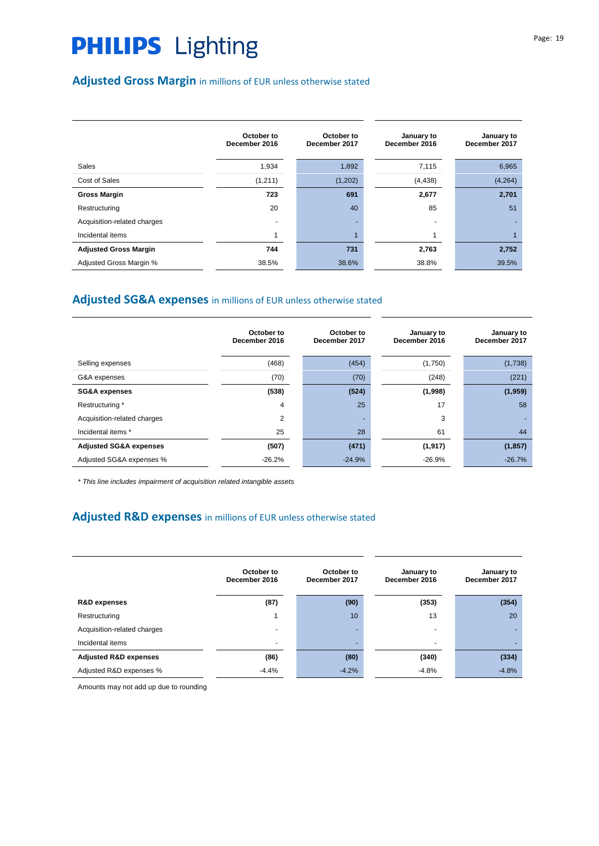# **Adjusted Gross Margin** in millions of EUR unless otherwise stated

|                              | October to<br>December 2016 | October to<br>December 2017 | January to<br>December 2016 | January to<br>December 2017 |
|------------------------------|-----------------------------|-----------------------------|-----------------------------|-----------------------------|
| <b>Sales</b>                 | 1,934                       | 1,892                       | 7,115                       | 6,965                       |
| Cost of Sales                | (1, 211)                    | (1,202)                     | (4, 438)                    | (4, 264)                    |
| <b>Gross Margin</b>          | 723                         | 691                         | 2,677                       | 2,701                       |
| Restructuring                | 20                          | 40                          | 85                          | 51                          |
| Acquisition-related charges  |                             |                             |                             |                             |
| Incidental items             |                             |                             |                             |                             |
| <b>Adjusted Gross Margin</b> | 744                         | 731                         | 2,763                       | 2,752                       |
| Adjusted Gross Margin %      | 38.5%                       | 38.6%                       | 38.8%                       | 39.5%                       |

## **Adjusted SG&A expenses** in millions of EUR unless otherwise stated

|                                   | October to<br>December 2016 | October to<br>December 2017 | January to<br>December 2016 | January to<br>December 2017 |
|-----------------------------------|-----------------------------|-----------------------------|-----------------------------|-----------------------------|
| Selling expenses                  | (468)                       | (454)                       | (1,750)                     | (1,738)                     |
| G&A expenses                      | (70)                        | (70)                        | (248)                       | (221)                       |
| <b>SG&amp;A expenses</b>          | (538)                       | (524)                       | (1,998)                     | (1,959)                     |
| Restructuring *                   | 4                           | 25                          | 17                          | 58                          |
| Acquisition-related charges       | 2                           |                             | 3                           |                             |
| Incidental items *                | 25                          | 28                          | 61                          | 44                          |
| <b>Adjusted SG&amp;A expenses</b> | (507)                       | (471)                       | (1, 917)                    | (1, 857)                    |
| Adjusted SG&A expenses %          | $-26.2%$                    | $-24.9%$                    | $-26.9%$                    | $-26.7%$                    |

*\* This line includes impairment of acquisition related intangible assets* 

## **Adjusted R&D expenses** in millions of EUR unless otherwise stated

|                                  | October to<br>December 2016 | October to<br>December 2017 | January to<br>December 2016 | January to<br>December 2017 |
|----------------------------------|-----------------------------|-----------------------------|-----------------------------|-----------------------------|
| <b>R&amp;D</b> expenses          | (87)                        | (90)                        | (353)                       | (354)                       |
| Restructuring                    |                             | 10 <sup>°</sup>             | 13                          | 20                          |
| Acquisition-related charges      |                             | -                           | $\overline{\phantom{a}}$    |                             |
| Incidental items                 | $\overline{\phantom{0}}$    | ۰.                          | $\overline{\phantom{0}}$    |                             |
| <b>Adjusted R&amp;D expenses</b> | (86)                        | (80)                        | (340)                       | (334)                       |
| Adjusted R&D expenses %          | $-4.4%$                     | $-4.2%$                     | $-4.8%$                     | $-4.8%$                     |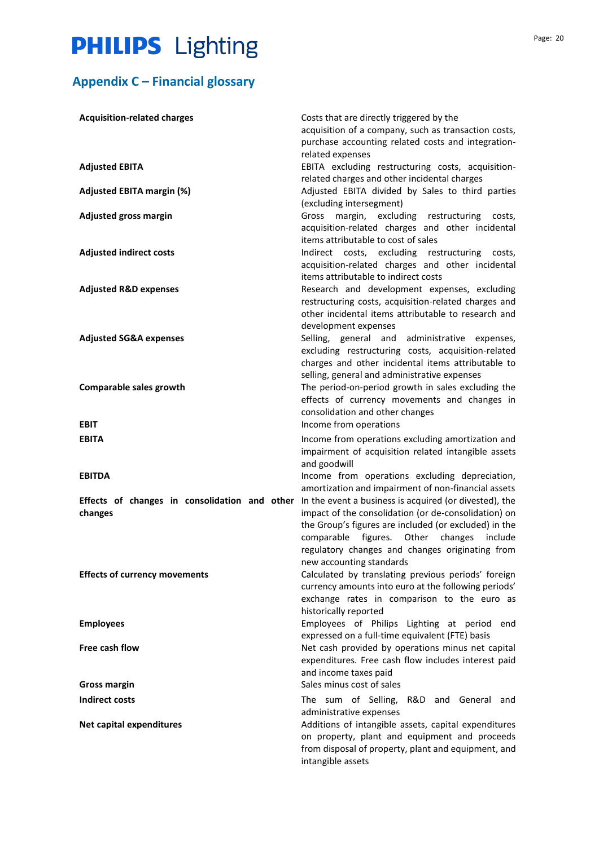# **Appendix C – Financial glossary**

| <b>Acquisition-related charges</b>                       | Costs that are directly triggered by the<br>acquisition of a company, such as transaction costs,<br>purchase accounting related costs and integration-<br>related expenses                                                                                                                          |
|----------------------------------------------------------|-----------------------------------------------------------------------------------------------------------------------------------------------------------------------------------------------------------------------------------------------------------------------------------------------------|
| <b>Adjusted EBITA</b>                                    | EBITA excluding restructuring costs, acquisition-<br>related charges and other incidental charges                                                                                                                                                                                                   |
| <b>Adjusted EBITA margin (%)</b>                         | Adjusted EBITA divided by Sales to third parties<br>(excluding intersegment)                                                                                                                                                                                                                        |
| <b>Adjusted gross margin</b>                             | Gross<br>margin, excluding restructuring<br>costs,<br>acquisition-related charges and other incidental<br>items attributable to cost of sales                                                                                                                                                       |
| <b>Adjusted indirect costs</b>                           | Indirect costs, excluding restructuring costs,<br>acquisition-related charges and other incidental<br>items attributable to indirect costs                                                                                                                                                          |
| <b>Adjusted R&amp;D expenses</b>                         | Research and development expenses, excluding<br>restructuring costs, acquisition-related charges and<br>other incidental items attributable to research and<br>development expenses                                                                                                                 |
| <b>Adjusted SG&amp;A expenses</b>                        | Selling, general and administrative expenses,<br>excluding restructuring costs, acquisition-related<br>charges and other incidental items attributable to<br>selling, general and administrative expenses                                                                                           |
| Comparable sales growth                                  | The period-on-period growth in sales excluding the<br>effects of currency movements and changes in<br>consolidation and other changes                                                                                                                                                               |
| <b>EBIT</b>                                              | Income from operations                                                                                                                                                                                                                                                                              |
| <b>EBITA</b>                                             | Income from operations excluding amortization and<br>impairment of acquisition related intangible assets<br>and goodwill                                                                                                                                                                            |
| <b>EBITDA</b>                                            | Income from operations excluding depreciation,<br>amortization and impairment of non-financial assets                                                                                                                                                                                               |
| Effects of changes in consolidation and other<br>changes | In the event a business is acquired (or divested), the<br>impact of the consolidation (or de-consolidation) on<br>the Group's figures are included (or excluded) in the<br>comparable figures. Other changes include<br>regulatory changes and changes originating from<br>new accounting standards |
| <b>Effects of currency movements</b>                     | Calculated by translating previous periods' foreign<br>currency amounts into euro at the following periods'<br>exchange rates in comparison to the euro as<br>historically reported                                                                                                                 |
| <b>Employees</b>                                         | Employees of Philips Lighting at period end<br>expressed on a full-time equivalent (FTE) basis                                                                                                                                                                                                      |
| <b>Free cash flow</b>                                    | Net cash provided by operations minus net capital<br>expenditures. Free cash flow includes interest paid<br>and income taxes paid                                                                                                                                                                   |
| <b>Gross margin</b>                                      | Sales minus cost of sales                                                                                                                                                                                                                                                                           |
| <b>Indirect costs</b>                                    | The sum of Selling, R&D and General and<br>administrative expenses                                                                                                                                                                                                                                  |
| <b>Net capital expenditures</b>                          | Additions of intangible assets, capital expenditures<br>on property, plant and equipment and proceeds<br>from disposal of property, plant and equipment, and<br>intangible assets                                                                                                                   |